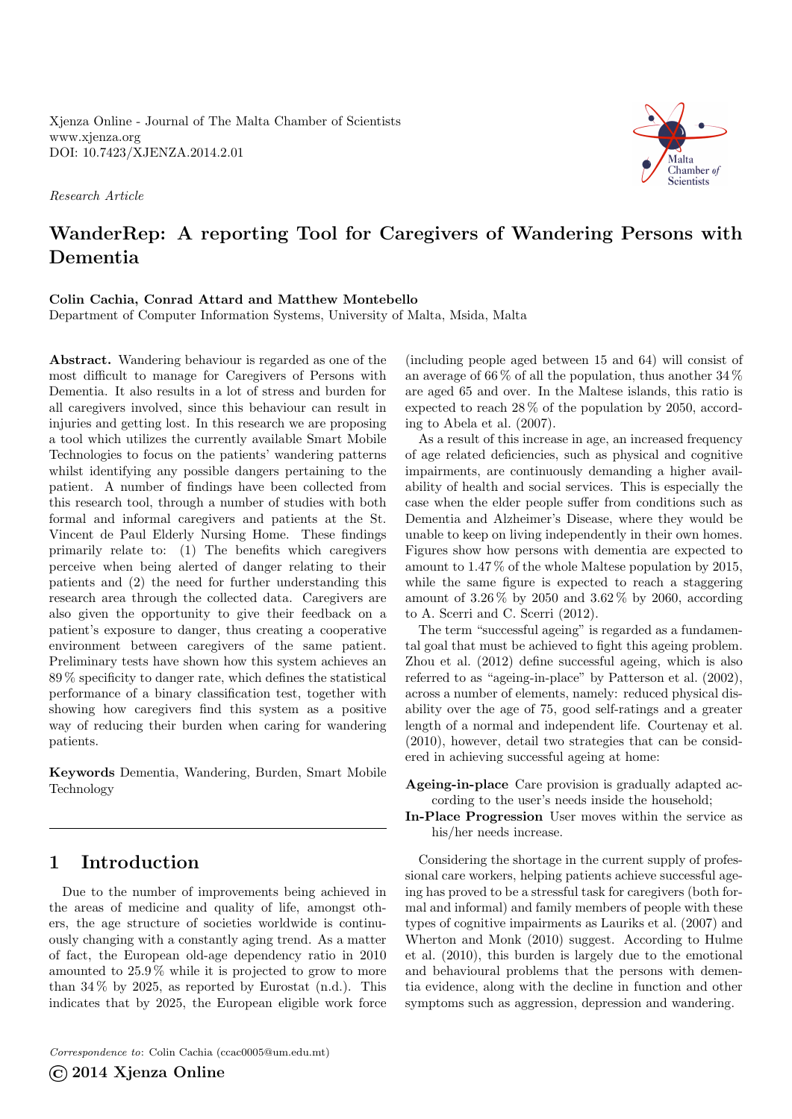Xjenza Online - Journal of The Malta Chamber of Scientists <www.xjenza.org> DOI:<10.7423/XJENZA.2014.2.01>

Research Article



# WanderRep: A reporting Tool for Caregivers of Wandering Persons with Dementia

### Colin Cachia, Conrad Attard and Matthew Montebello

Department of Computer Information Systems, University of Malta, Msida, Malta

Abstract. Wandering behaviour is regarded as one of the most difficult to manage for Caregivers of Persons with Dementia. It also results in a lot of stress and burden for all caregivers involved, since this behaviour can result in injuries and getting lost. In this research we are proposing a tool which utilizes the currently available Smart Mobile Technologies to focus on the patients' wandering patterns whilst identifying any possible dangers pertaining to the patient. A number of findings have been collected from this research tool, through a number of studies with both formal and informal caregivers and patients at the St. Vincent de Paul Elderly Nursing Home. These findings primarily relate to: (1) The benefits which caregivers perceive when being alerted of danger relating to their patients and (2) the need for further understanding this research area through the collected data. Caregivers are also given the opportunity to give their feedback on a patient's exposure to danger, thus creating a cooperative environment between caregivers of the same patient. Preliminary tests have shown how this system achieves an 89 % specificity to danger rate, which defines the statistical performance of a binary classification test, together with showing how caregivers find this system as a positive way of reducing their burden when caring for wandering patients.

Keywords Dementia, Wandering, Burden, Smart Mobile Technology

# 1 Introduction

Due to the number of improvements being achieved in the areas of medicine and quality of life, amongst others, the age structure of societies worldwide is continuously changing with a constantly aging trend. As a matter of fact, the European old-age dependency ratio in 2010 amounted to 25.9 % while it is projected to grow to more than  $34\%$  by 2025, as reported by Eurostat [\(n.d.\)](#page-5-0). This indicates that by 2025, the European eligible work force

Correspondence to: Colin Cachia [\(ccac0005@um.edu.mt\)](mailto:ccac0005@um.edu.mt)

©2014 Xjenza Online

(including people aged between 15 and 64) will consist of an average of 66 % of all the population, thus another 34 % are aged 65 and over. In the Maltese islands, this ratio is expected to reach 28 % of the population by 2050, according to Abela et al. [\(2007\)](#page-5-1).

As a result of this increase in age, an increased frequency of age related deficiencies, such as physical and cognitive impairments, are continuously demanding a higher availability of health and social services. This is especially the case when the elder people suffer from conditions such as Dementia and Alzheimer's Disease, where they would be unable to keep on living independently in their own homes. Figures show how persons with dementia are expected to amount to 1.47 % of the whole Maltese population by 2015, while the same figure is expected to reach a staggering amount of 3.26 % by 2050 and 3.62 % by 2060, according to A. Scerri and C. Scerri [\(2012\)](#page-5-2).

The term "successful ageing" is regarded as a fundamental goal that must be achieved to fight this ageing problem. Zhou et al. [\(2012\)](#page-5-3) define successful ageing, which is also referred to as "ageing-in-place" by Patterson et al. [\(2002\)](#page-5-4), across a number of elements, namely: reduced physical disability over the age of 75, good self-ratings and a greater length of a normal and independent life. Courtenay et al. [\(2010\)](#page-5-5), however, detail two strategies that can be considered in achieving successful ageing at home:

Ageing-in-place Care provision is gradually adapted according to the user's needs inside the household;

In-Place Progression User moves within the service as his/her needs increase.

Considering the shortage in the current supply of professional care workers, helping patients achieve successful ageing has proved to be a stressful task for caregivers (both formal and informal) and family members of people with these types of cognitive impairments as Lauriks et al. [\(2007\)](#page-5-6) and Wherton and Monk [\(2010\)](#page-5-7) suggest. According to Hulme et al. [\(2010\)](#page-5-8), this burden is largely due to the emotional and behavioural problems that the persons with dementia evidence, along with the decline in function and other symptoms such as aggression, depression and wandering.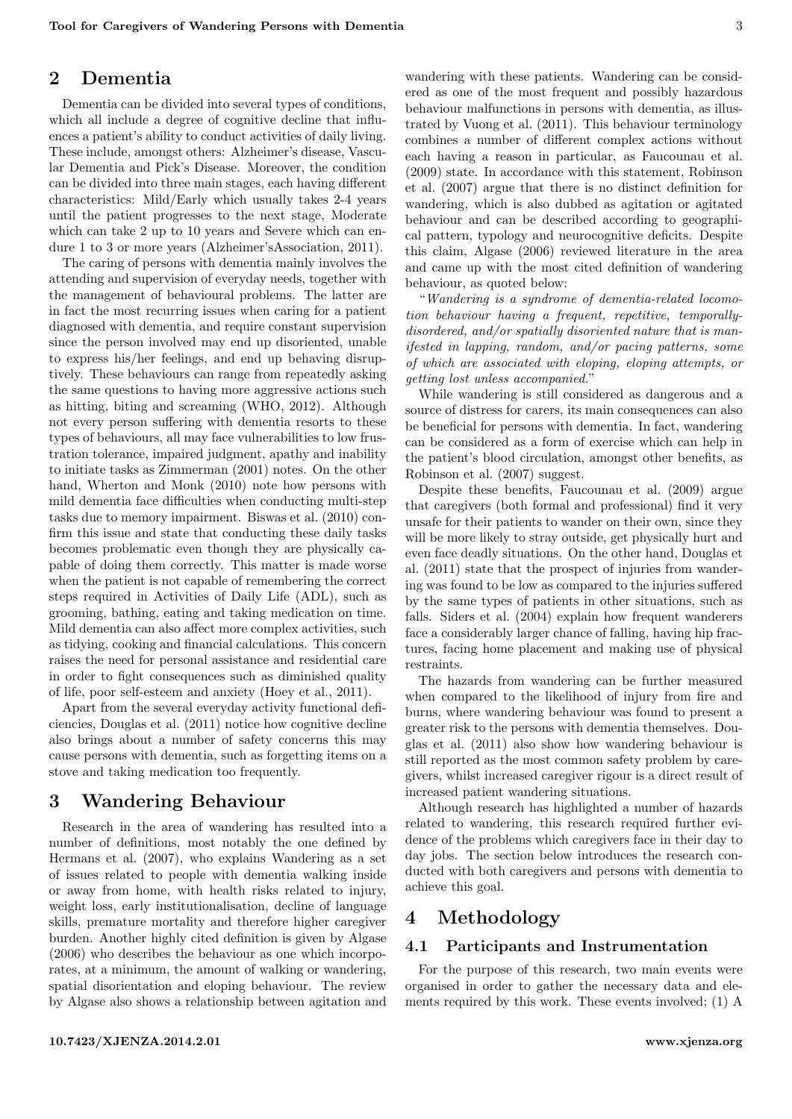### 2 Dementia

Dementia can be divided into several types of conditions, which all include a degree of cognitive decline that influences a patient's ability to conduct activities of daily living. These include, amongst others: Alzheimer's disease, Vascular Dementia and Pick's Disease. Moreover, the condition can be divided into three main stages, each having different characteristics: Mild/Early which usually takes 2-4 years until the patient progresses to the next stage, Moderate which can take 2 up to 10 years and Severe which can endure 1 to 3 or more years (Alzheimer'sAssociation, [2011\)](#page-5-9).

The caring of persons with dementia mainly involves the attending and supervision of everyday needs, together with the management of behavioural problems. The latter are in fact the most recurring issues when caring for a patient diagnosed with dementia, and require constant supervision since the person involved may end up disoriented, unable to express his/her feelings, and end up behaving disruptively. These behaviours can range from repeatedly asking the same questions to having more aggressive actions such as hitting, biting and screaming (WHO, [2012\)](#page-5-10). Although not every person suffering with dementia resorts to these types of behaviours, all may face vulnerabilities to low frustration tolerance, impaired judgment, apathy and inability to initiate tasks as Zimmerman [\(2001\)](#page-5-11) notes. On the other hand, Wherton and Monk [\(2010\)](#page-5-7) note how persons with mild dementia face difficulties when conducting multi-step tasks due to memory impairment. Biswas et al. [\(2010\)](#page-5-12) confirm this issue and state that conducting these daily tasks becomes problematic even though they are physically capable of doing them correctly. This matter is made worse when the patient is not capable of remembering the correct steps required in Activities of Daily Life (ADL), such as grooming, bathing, eating and taking medication on time. Mild dementia can also affect more complex activities, such as tidying, cooking and financial calculations. This concern raises the need for personal assistance and residential care in order to fight consequences such as diminished quality of life, poor self-esteem and anxiety (Hoey et al., [2011\)](#page-5-13).

Apart from the several everyday activity functional deficiencies, Douglas et al. [\(2011\)](#page-5-14) notice how cognitive decline also brings about a number of safety concerns this may cause persons with dementia, such as forgetting items on a stove and taking medication too frequently.

# 3 Wandering Behaviour

Research in the area of wandering has resulted into a number of definitions, most notably the one defined by Hermans et al. [\(2007\)](#page-5-15), who explains Wandering as a set of issues related to people with dementia walking inside or away from home, with health risks related to injury, weight loss, early institutionalisation, decline of language skills, premature mortality and therefore higher caregiver burden. Another highly cited definition is given by Algase [\(2006\)](#page-5-16) who describes the behaviour as one which incorporates, at a minimum, the amount of walking or wandering, spatial disorientation and eloping behaviour. The review by Algase also shows a relationship between agitation and wandering with these patients. Wandering can be considered as one of the most frequent and possibly hazardous behaviour malfunctions in persons with dementia, as illustrated by Vuong et al. [\(2011\)](#page-5-17). This behaviour terminology combines a number of different complex actions without each having a reason in particular, as Faucounau et al. [\(2009\)](#page-5-18) state. In accordance with this statement, Robinson et al. [\(2007\)](#page-5-19) argue that there is no distinct definition for wandering, which is also dubbed as agitation or agitated behaviour and can be described according to geographical pattern, typology and neurocognitive deficits. Despite this claim, Algase [\(2006\)](#page-5-16) reviewed literature in the area and came up with the most cited definition of wandering behaviour, as quoted below:

"Wandering is a syndrome of dementia-related locomotion behaviour having a frequent, repetitive, temporallydisordered, and/or spatially disoriented nature that is manifested in lapping, random, and/or pacing patterns, some of which are associated with eloping, eloping attempts, or getting lost unless accompanied."

While wandering is still considered as dangerous and a source of distress for carers, its main consequences can also be beneficial for persons with dementia. In fact, wandering can be considered as a form of exercise which can help in the patient's blood circulation, amongst other benefits, as Robinson et al. [\(2007\)](#page-5-19) suggest.

Despite these benefits, Faucounau et al. [\(2009\)](#page-5-18) argue that caregivers (both formal and professional) find it very unsafe for their patients to wander on their own, since they will be more likely to stray outside, get physically hurt and even face deadly situations. On the other hand, Douglas et al. [\(2011\)](#page-5-14) state that the prospect of injuries from wandering was found to be low as compared to the injuries suffered by the same types of patients in other situations, such as falls. Siders et al. [\(2004\)](#page-5-20) explain how frequent wanderers face a considerably larger chance of falling, having hip fractures, facing home placement and making use of physical restraints.

The hazards from wandering can be further measured when compared to the likelihood of injury from fire and burns, where wandering behaviour was found to present a greater risk to the persons with dementia themselves. Douglas et al. [\(2011\)](#page-5-14) also show how wandering behaviour is still reported as the most common safety problem by caregivers, whilst increased caregiver rigour is a direct result of increased patient wandering situations.

Although research has highlighted a number of hazards related to wandering, this research required further evidence of the problems which caregivers face in their day to day jobs. The section below introduces the research conducted with both caregivers and persons with dementia to achieve this goal.

## 4 Methodology

#### 4.1 Participants and Instrumentation

For the purpose of this research, two main events were organised in order to gather the necessary data and elements required by this work. These events involved; (1) A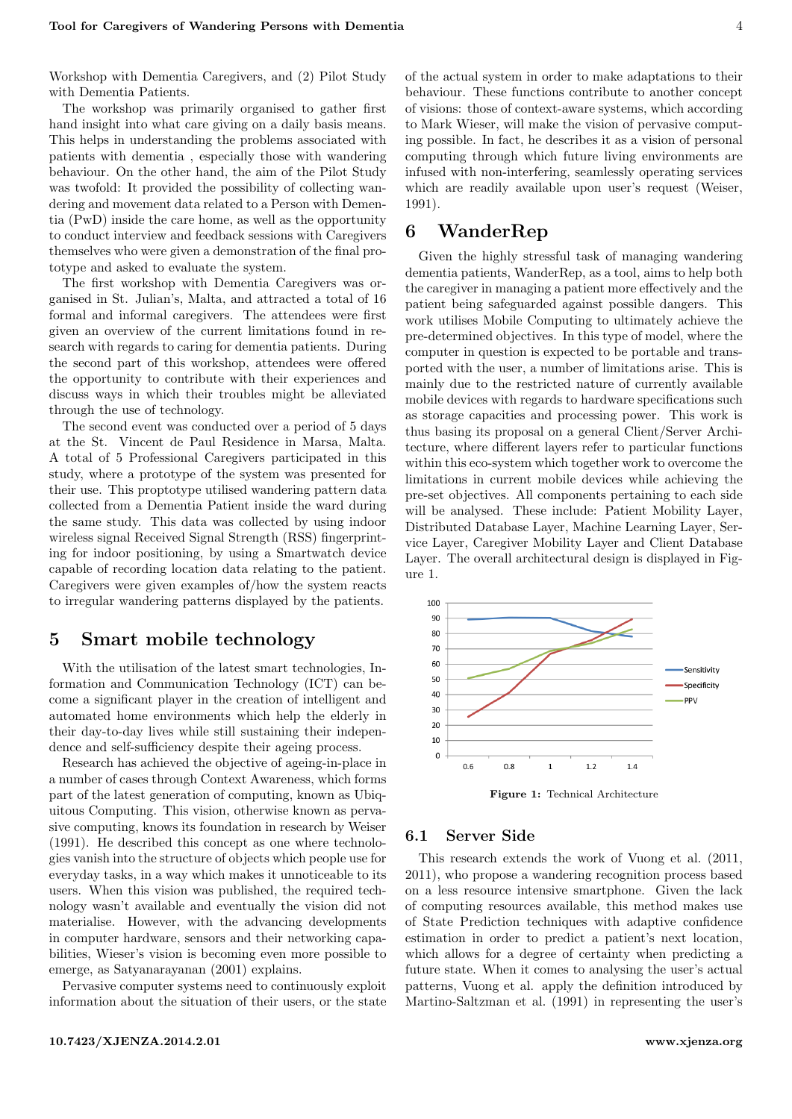Workshop with Dementia Caregivers, and (2) Pilot Study with Dementia Patients.

The workshop was primarily organised to gather first hand insight into what care giving on a daily basis means. This helps in understanding the problems associated with patients with dementia , especially those with wandering behaviour. On the other hand, the aim of the Pilot Study was twofold: It provided the possibility of collecting wandering and movement data related to a Person with Dementia (PwD) inside the care home, as well as the opportunity to conduct interview and feedback sessions with Caregivers themselves who were given a demonstration of the final prototype and asked to evaluate the system.

The first workshop with Dementia Caregivers was organised in St. Julian's, Malta, and attracted a total of 16 formal and informal caregivers. The attendees were first given an overview of the current limitations found in research with regards to caring for dementia patients. During the second part of this workshop, attendees were offered the opportunity to contribute with their experiences and discuss ways in which their troubles might be alleviated through the use of technology.

The second event was conducted over a period of 5 days at the St. Vincent de Paul Residence in Marsa, Malta. A total of 5 Professional Caregivers participated in this study, where a prototype of the system was presented for their use. This proptotype utilised wandering pattern data collected from a Dementia Patient inside the ward during the same study. This data was collected by using indoor wireless signal Received Signal Strength (RSS) fingerprinting for indoor positioning, by using a Smartwatch device capable of recording location data relating to the patient. Caregivers were given examples of/how the system reacts to irregular wandering patterns displayed by the patients.

## 5 Smart mobile technology

With the utilisation of the latest smart technologies, Information and Communication Technology (ICT) can become a significant player in the creation of intelligent and automated home environments which help the elderly in their day-to-day lives while still sustaining their independence and self-sufficiency despite their ageing process.

Research has achieved the objective of ageing-in-place in a number of cases through Context Awareness, which forms part of the latest generation of computing, known as Ubiquitous Computing. This vision, otherwise known as pervasive computing, knows its foundation in research by Weiser [\(1991\)](#page-5-21). He described this concept as one where technologies vanish into the structure of objects which people use for everyday tasks, in a way which makes it unnoticeable to its users. When this vision was published, the required technology wasn't available and eventually the vision did not materialise. However, with the advancing developments in computer hardware, sensors and their networking capabilities, Wieser's vision is becoming even more possible to emerge, as Satyanarayanan [\(2001\)](#page-5-22) explains.

Pervasive computer systems need to continuously exploit information about the situation of their users, or the state

of the actual system in order to make adaptations to their behaviour. These functions contribute to another concept of visions: those of context-aware systems, which according to Mark Wieser, will make the vision of pervasive computing possible. In fact, he describes it as a vision of personal computing through which future living environments are infused with non-interfering, seamlessly operating services which are readily available upon user's request (Weiser, [1991\)](#page-5-21).

### 6 WanderRep

Given the highly stressful task of managing wandering dementia patients, WanderRep, as a tool, aims to help both the caregiver in managing a patient more effectively and the patient being safeguarded against possible dangers. This work utilises Mobile Computing to ultimately achieve the pre-determined objectives. In this type of model, where the computer in question is expected to be portable and transported with the user, a number of limitations arise. This is mainly due to the restricted nature of currently available mobile devices with regards to hardware specifications such as storage capacities and processing power. This work is thus basing its proposal on a general Client/Server Architecture, where different layers refer to particular functions within this eco-system which together work to overcome the limitations in current mobile devices while achieving the pre-set objectives. All components pertaining to each side will be analysed. These include: Patient Mobility Layer, Distributed Database Layer, Machine Learning Layer, Service Layer, Caregiver Mobility Layer and Client Database Layer. The overall architectural design is displayed in Figure [1.](#page-2-0)

<span id="page-2-0"></span>

Figure 1: Technical Architecture

#### 6.1 Server Side

This research extends the work of Vuong et al. [\(2011,](#page-5-17) [2011\)](#page-5-17), who propose a wandering recognition process based on a less resource intensive smartphone. Given the lack of computing resources available, this method makes use of State Prediction techniques with adaptive confidence estimation in order to predict a patient's next location, which allows for a degree of certainty when predicting a future state. When it comes to analysing the user's actual patterns, Vuong et al. apply the definition introduced by Martino-Saltzman et al. [\(1991\)](#page-5-23) in representing the user's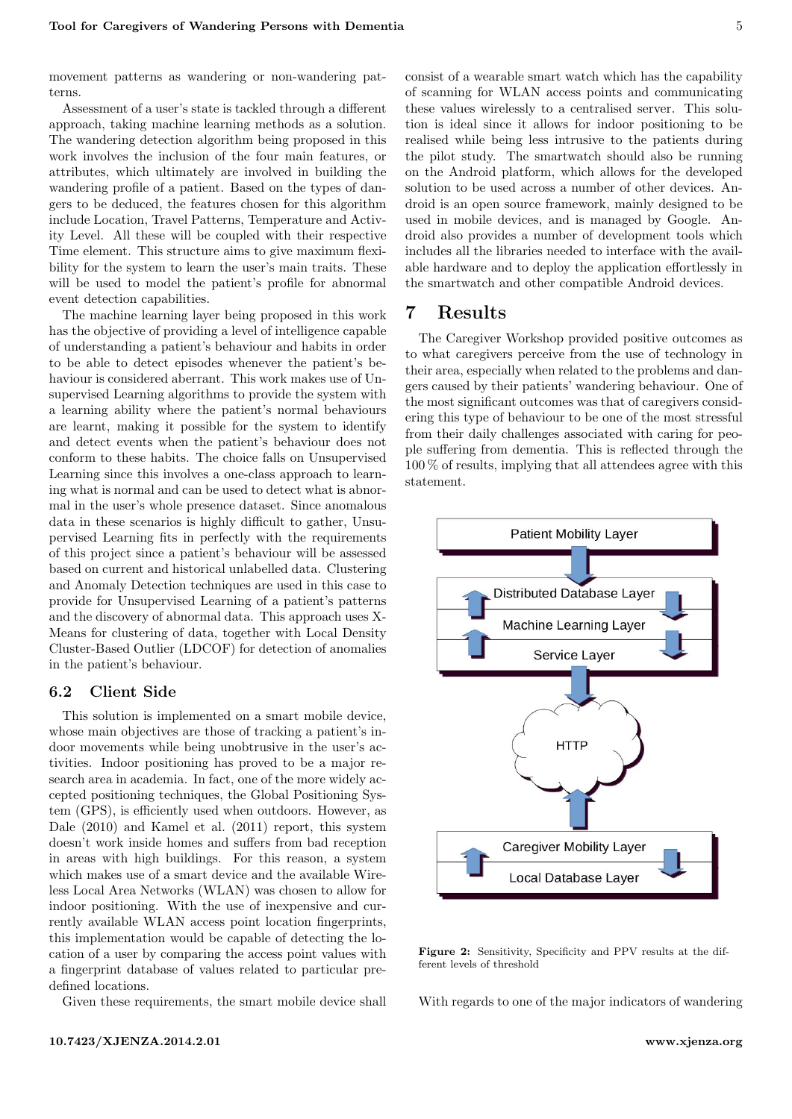movement patterns as wandering or non-wandering patterns.

Assessment of a user's state is tackled through a different approach, taking machine learning methods as a solution. The wandering detection algorithm being proposed in this work involves the inclusion of the four main features, or attributes, which ultimately are involved in building the wandering profile of a patient. Based on the types of dangers to be deduced, the features chosen for this algorithm include Location, Travel Patterns, Temperature and Activity Level. All these will be coupled with their respective Time element. This structure aims to give maximum flexibility for the system to learn the user's main traits. These will be used to model the patient's profile for abnormal event detection capabilities.

The machine learning layer being proposed in this work has the objective of providing a level of intelligence capable of understanding a patient's behaviour and habits in order to be able to detect episodes whenever the patient's behaviour is considered aberrant. This work makes use of Unsupervised Learning algorithms to provide the system with a learning ability where the patient's normal behaviours are learnt, making it possible for the system to identify and detect events when the patient's behaviour does not conform to these habits. The choice falls on Unsupervised Learning since this involves a one-class approach to learning what is normal and can be used to detect what is abnormal in the user's whole presence dataset. Since anomalous data in these scenarios is highly difficult to gather, Unsupervised Learning fits in perfectly with the requirements of this project since a patient's behaviour will be assessed based on current and historical unlabelled data. Clustering and Anomaly Detection techniques are used in this case to provide for Unsupervised Learning of a patient's patterns and the discovery of abnormal data. This approach uses X-Means for clustering of data, together with Local Density Cluster-Based Outlier (LDCOF) for detection of anomalies in the patient's behaviour.

#### 6.2 Client Side

This solution is implemented on a smart mobile device, whose main objectives are those of tracking a patient's indoor movements while being unobtrusive in the user's activities. Indoor positioning has proved to be a major research area in academia. In fact, one of the more widely accepted positioning techniques, the Global Positioning System (GPS), is efficiently used when outdoors. However, as Dale [\(2010\)](#page-5-24) and Kamel et al. [\(2011\)](#page-5-25) report, this system doesn't work inside homes and suffers from bad reception in areas with high buildings. For this reason, a system which makes use of a smart device and the available Wireless Local Area Networks (WLAN) was chosen to allow for indoor positioning. With the use of inexpensive and currently available WLAN access point location fingerprints, this implementation would be capable of detecting the location of a user by comparing the access point values with a fingerprint database of values related to particular predefined locations.

Given these requirements, the smart mobile device shall

consist of a wearable smart watch which has the capability of scanning for WLAN access points and communicating these values wirelessly to a centralised server. This solution is ideal since it allows for indoor positioning to be realised while being less intrusive to the patients during the pilot study. The smartwatch should also be running on the Android platform, which allows for the developed solution to be used across a number of other devices. Android is an open source framework, mainly designed to be used in mobile devices, and is managed by Google. Android also provides a number of development tools which includes all the libraries needed to interface with the available hardware and to deploy the application effortlessly in the smartwatch and other compatible Android devices.

# 7 Results

The Caregiver Workshop provided positive outcomes as to what caregivers perceive from the use of technology in their area, especially when related to the problems and dangers caused by their patients' wandering behaviour. One of the most significant outcomes was that of caregivers considering this type of behaviour to be one of the most stressful from their daily challenges associated with caring for people suffering from dementia. This is reflected through the 100 % of results, implying that all attendees agree with this statement.

<span id="page-3-0"></span>

Figure 2: Sensitivity, Specificity and PPV results at the different levels of threshold

With regards to one of the major indicators of wandering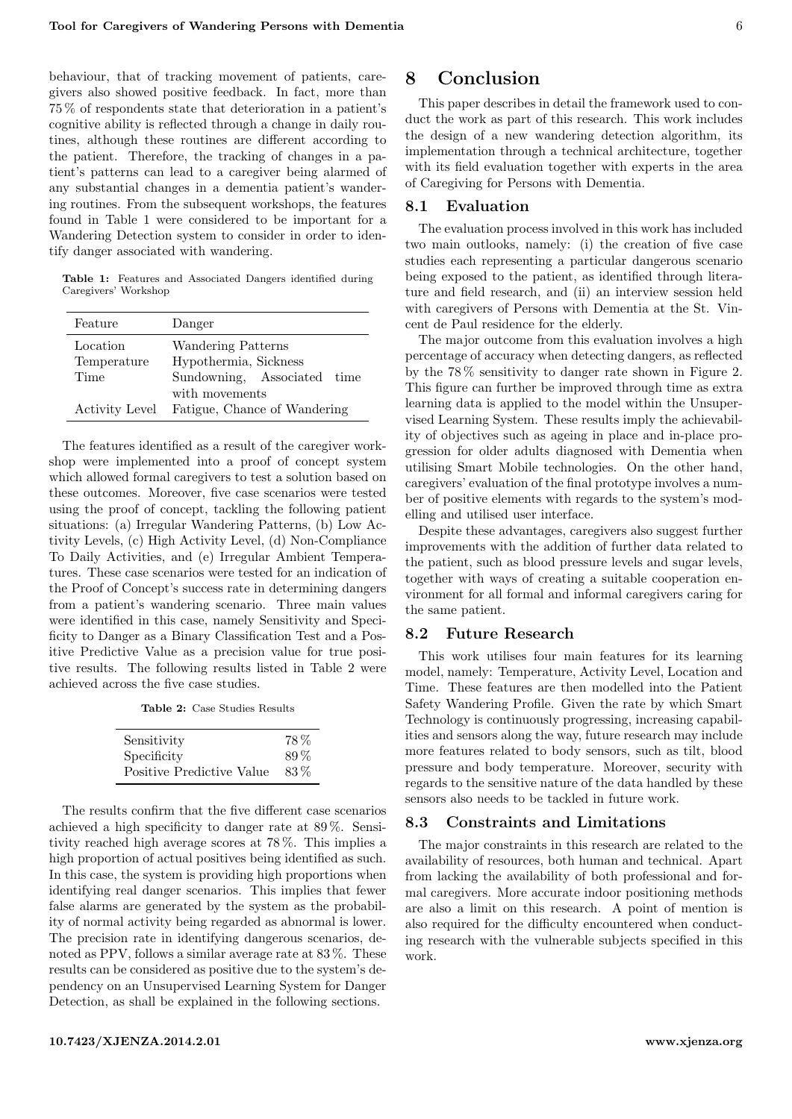behaviour, that of tracking movement of patients, caregivers also showed positive feedback. In fact, more than 75 % of respondents state that deterioration in a patient's cognitive ability is reflected through a change in daily routines, although these routines are different according to the patient. Therefore, the tracking of changes in a patient's patterns can lead to a caregiver being alarmed of any substantial changes in a dementia patient's wandering routines. From the subsequent workshops, the features found in Table [1](#page-4-0) were considered to be important for a Wandering Detection system to consider in order to identify danger associated with wandering.

<span id="page-4-0"></span>Table 1: Features and Associated Dangers identified during Caregivers' Workshop

| Feature                         | Danger                                                                                       |  |
|---------------------------------|----------------------------------------------------------------------------------------------|--|
| Location<br>Temperature<br>Time | Wandering Patterns<br>Hypothermia, Sickness<br>Sundowning, Associated time<br>with movements |  |
| <b>Activity Level</b>           | Fatigue, Chance of Wandering                                                                 |  |

The features identified as a result of the caregiver workshop were implemented into a proof of concept system which allowed formal caregivers to test a solution based on these outcomes. Moreover, five case scenarios were tested using the proof of concept, tackling the following patient situations: (a) Irregular Wandering Patterns, (b) Low Activity Levels, (c) High Activity Level, (d) Non-Compliance To Daily Activities, and (e) Irregular Ambient Temperatures. These case scenarios were tested for an indication of the Proof of Concept's success rate in determining dangers from a patient's wandering scenario. Three main values were identified in this case, namely Sensitivity and Specificity to Danger as a Binary Classification Test and a Positive Predictive Value as a precision value for true positive results. The following results listed in Table [2](#page-4-1) were achieved across the five case studies.

Table 2: Case Studies Results

<span id="page-4-1"></span>

| Sensitivity               | 78%  |
|---------------------------|------|
| Specificity               | 89%  |
| Positive Predictive Value | 83\% |

The results confirm that the five different case scenarios achieved a high specificity to danger rate at 89 %. Sensitivity reached high average scores at 78 %. This implies a high proportion of actual positives being identified as such. In this case, the system is providing high proportions when identifying real danger scenarios. This implies that fewer false alarms are generated by the system as the probability of normal activity being regarded as abnormal is lower. The precision rate in identifying dangerous scenarios, denoted as PPV, follows a similar average rate at 83 %. These results can be considered as positive due to the system's dependency on an Unsupervised Learning System for Danger Detection, as shall be explained in the following sections.

#### <10.7423/XJENZA.2014.2.01> <www.xjenza.org>

### 8 Conclusion

This paper describes in detail the framework used to conduct the work as part of this research. This work includes the design of a new wandering detection algorithm, its implementation through a technical architecture, together with its field evaluation together with experts in the area of Caregiving for Persons with Dementia.

#### 8.1 Evaluation

The evaluation process involved in this work has included two main outlooks, namely: (i) the creation of five case studies each representing a particular dangerous scenario being exposed to the patient, as identified through literature and field research, and (ii) an interview session held with caregivers of Persons with Dementia at the St. Vincent de Paul residence for the elderly.

The major outcome from this evaluation involves a high percentage of accuracy when detecting dangers, as reflected by the 78 % sensitivity to danger rate shown in Figure [2.](#page-3-0) This figure can further be improved through time as extra learning data is applied to the model within the Unsupervised Learning System. These results imply the achievability of objectives such as ageing in place and in-place progression for older adults diagnosed with Dementia when utilising Smart Mobile technologies. On the other hand, caregivers' evaluation of the final prototype involves a number of positive elements with regards to the system's modelling and utilised user interface.

Despite these advantages, caregivers also suggest further improvements with the addition of further data related to the patient, such as blood pressure levels and sugar levels, together with ways of creating a suitable cooperation environment for all formal and informal caregivers caring for the same patient.

#### 8.2 Future Research

This work utilises four main features for its learning model, namely: Temperature, Activity Level, Location and Time. These features are then modelled into the Patient Safety Wandering Profile. Given the rate by which Smart Technology is continuously progressing, increasing capabilities and sensors along the way, future research may include more features related to body sensors, such as tilt, blood pressure and body temperature. Moreover, security with regards to the sensitive nature of the data handled by these sensors also needs to be tackled in future work.

#### 8.3 Constraints and Limitations

The major constraints in this research are related to the availability of resources, both human and technical. Apart from lacking the availability of both professional and formal caregivers. More accurate indoor positioning methods are also a limit on this research. A point of mention is also required for the difficulty encountered when conducting research with the vulnerable subjects specified in this work.